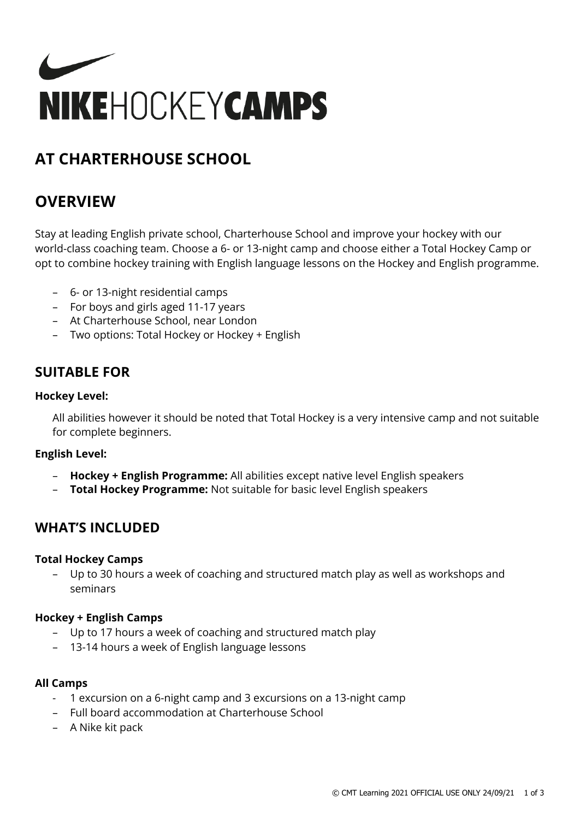

# **AT CHARTERHOUSE SCHOOL**

# **OVERVIEW**

Stay at leading English private school, Charterhouse School and improve your hockey with our world-class coaching team. Choose a 6- or 13-night camp and choose either a Total Hockey Camp or opt to combine hockey training with English language lessons on the Hockey and English programme.

- 6- or 13-night residential camps
- For boys and girls aged 11-17 years
- At Charterhouse School, near London
- Two options: Total Hockey or Hockey + English

### **SUITABLE FOR**

### **Hockey Level:**

All abilities however it should be noted that Total Hockey is a very intensive camp and not suitable for complete beginners.

### **English Level:**

- **Hockey + English Programme:** All abilities except native level English speakers
- **Total Hockey Programme:** Not suitable for basic level English speakers

### **WHAT'S INCLUDED**

### **Total Hockey Camps**

– Up to 30 hours a week of coaching and structured match play as well as workshops and seminars

### **Hockey + English Camps**

- Up to 17 hours a week of coaching and structured match play
- 13-14 hours a week of English language lessons

#### **All Camps**

- 1 excursion on a 6-night camp and 3 excursions on a 13-night camp
- Full board accommodation at Charterhouse School
- A Nike kit pack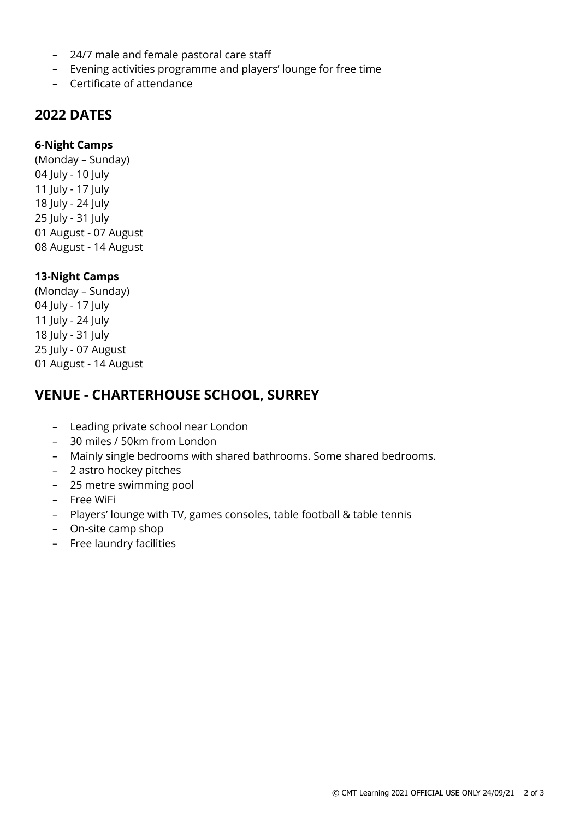- 24/7 male and female pastoral care staff
- Evening activities programme and players' lounge for free time
- Certificate of attendance

### **2022 DATES**

#### **6-Night Camps**

(Monday – Sunday) July - 10 July July - 17 July July - 24 July July - 31 July August - 07 August August - 14 August

#### **13-Night Camps**

(Monday – Sunday) 04 July - 17 July July - 24 July July - 31 July July - 07 August August - 14 August

### **VENUE - CHARTERHOUSE SCHOOL, SURREY**

- Leading private school near London
- 30 miles / 50km from London
- Mainly single bedrooms with shared bathrooms. Some shared bedrooms.
- 2 astro hockey pitches
- 25 metre swimming pool
- Free WiFi
- Players' lounge with TV, games consoles, table football & table tennis
- On-site camp shop
- **–** Free laundry facilities